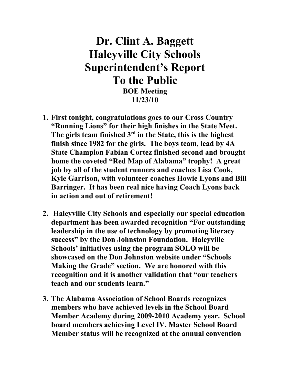# **Dr. Clint A. Baggett Haleyville City Schools Superintendent's Report To the Public BOE Meeting**

**11/23/10**

- **1. First tonight, congratulations goes to our Cross Country "Running Lions" for their high finishes in the State Meet. The girls team finished 3rd in the State, this is the highest finish since 1982 for the girls. The boys team, lead by 4A State Champion Fabian Cortez finished second and brought home the coveted "Red Map of Alabama" trophy! A great job by all of the student runners and coaches Lisa Cook, Kyle Garrison, with volunteer coaches Howie Lyons and Bill Barringer. It has been real nice having Coach Lyons back in action and out of retirement!**
- **2. Haleyville City Schools and especially our special education department has been awarded recognition "For outstanding leadership in the use of technology by promoting literacy success" by the Don Johnston Foundation. Haleyville Schools' initiatives using the program SOLO will be showcased on the Don Johnston website under "Schools Making the Grade" section. We are honored with this recognition and it is another validation that "our teachers teach and our students learn."**
- **3. The Alabama Association of School Boards recognizes members who have achieved levels in the School Board Member Academy during 2009-2010 Academy year. School board members achieving Level IV, Master School Board Member status will be recognized at the annual convention**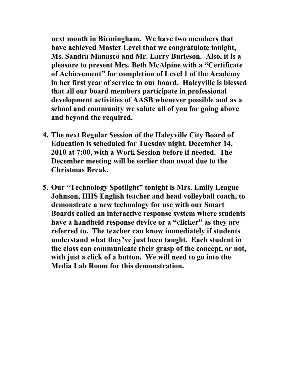**next month in Birmingham. We have two members that have achieved Master Level that we congratulate tonight, Ms. Sandra Manasco and Mr. Larry Burleson. Also, it is a pleasure to present Mrs. Beth McAlpine with a "Certificate of Achievement" for completion of Level 1 of the Academy in her first year of service to our board. Haleyville is blessed that all our board members participate in professional development activities of AASB whenever possible and as a school and community we salute all of you for going above and beyond the required.**

- **4. The next Regular Session of the Haleyville City Board of Education is scheduled for Tuesday night, December 14, 2010 at 7:00, with a Work Session before if needed. The December meeting will be earlier than usual due to the Christmas Break.**
- **5. Our "Technology Spotlight" tonight is Mrs. Emily League Johnson, HHS English teacher and head volleyball coach, to demonstrate a new technology for use with our Smart Boards called an interactive response system where students have a handheld response device or a "clicker" as they are referred to. The teacher can know immediately if students understand what they've just been taught. Each student in the class can communicate their grasp of the concept, or not, with just a click of a button. We will need to go into the Media Lab Room for this demonstration.**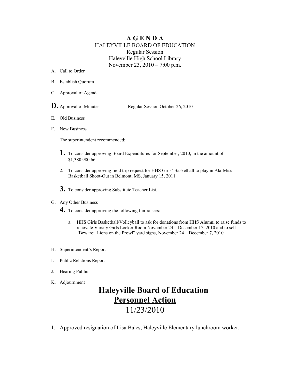#### **A G E N D A** HALEYVILLE BOARD OF EDUCATION Regular Session Haleyville High School Library November 23, 2010 – 7:00 p.m.

- A. Call to Order
- B. Establish Quorum
- C. Approval of Agenda
- **D.** Approval of Minutes Regular Session October 26, 2010
- E. Old Business
- F. New Business

The superintendent recommended:

- **1.** To consider approving Board Expenditures for September, 2010, in the amount of \$1,380,980.66.
- 2. To consider approving field trip request for HHS Girls' Basketball to play in Ala-Miss Basketball Shoot-Out in Belmont, MS, January 15, 2011.
- **3.** To consider approving Substitute Teacher List.

#### G. Any Other Business

- **4.** To consider approving the following fun-raisers:
	- a. HHS Girls Basketball/Volleyball to ask for donations from HHS Alumni to raise funds to renovate Varsity Girls Locker Room November 24 – December 17, 2010 and to sell "Beware: Lions on the Prowl" yard signs, November 24 – December 7, 2010.
- H. Superintendent's Report
- I. Public Relations Report
- J. Hearing Public
- K. Adjournment

## **Haleyville Board of Education Personnel Action**

### 11/23/2010

1. Approved resignation of Lisa Bales, Haleyville Elementary lunchroom worker.